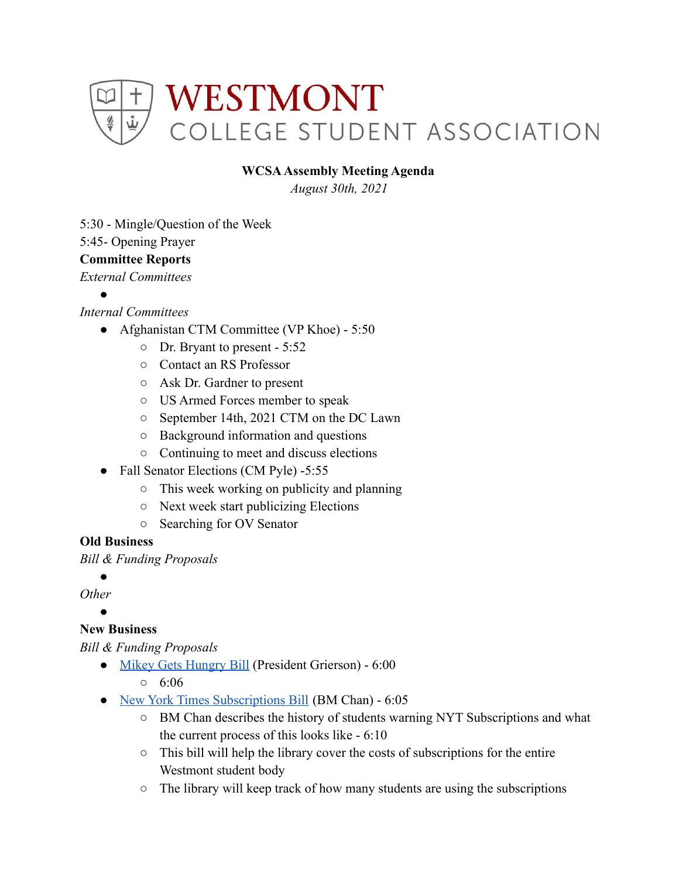

### **WCSAAssembly Meeting Agenda**

*August 30th, 2021*

5:30 - Mingle/Question of the Week

5:45- Opening Prayer

# **Committee Reports**

*External Committees*

●

# *Internal Committees*

- Afghanistan CTM Committee (VP Khoe) 5:50
	- Dr. Bryant to present 5:52
	- Contact an RS Professor
	- Ask Dr. Gardner to present
	- US Armed Forces member to speak
	- September 14th, 2021 CTM on the DC Lawn
	- Background information and questions
	- Continuing to meet and discuss elections
- Fall Senator Elections (CM Pyle) -5:55
	- This week working on publicity and planning
	- Next week start publicizing Elections
	- Searching for OV Senator

# **Old Business**

*Bill & Funding Proposals*

●

*Other*

#### ● **New Business**

*Bill & Funding Proposals*

- [Mikey Gets Hungry Bill](https://docs.google.com/document/d/13n--c2sOkMOlX3srjdxk1oLHmPnOu3SzavlUFLlZBQw/edit) (President Grierson) 6:00
	- $0.6:06$
- [New York Times Subscriptions Bill](https://docs.google.com/document/d/1P-dOmBIN-quhgac--HWDluijD-buBwgdbqanrBA_VUQ/edit) (BM Chan) 6:05
	- BM Chan describes the history of students warning NYT Subscriptions and what the current process of this looks like - 6:10
	- This bill will help the library cover the costs of subscriptions for the entire Westmont student body
	- The library will keep track of how many students are using the subscriptions